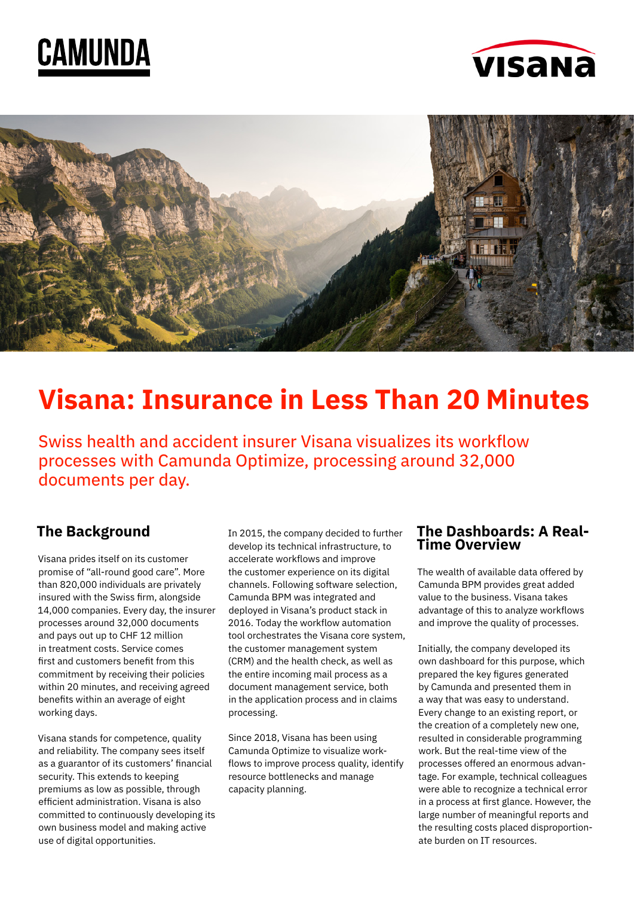





# **Visana: Insurance in Less Than 20 Minutes**

Swiss health and accident insurer Visana visualizes its workflow processes with Camunda Optimize, processing around 32,000 documents per day.

# **The Background**

Visana prides itself on its customer promise of "all-round good care". More than 820,000 individuals are privately insured with the Swiss firm, alongside 14,000 companies. Every day, the insurer processes around 32,000 documents and pays out up to CHF 12 million in treatment costs. Service comes first and customers benefit from this commitment by receiving their policies within 20 minutes, and receiving agreed benefits within an average of eight working days.

Visana stands for competence, quality and reliability. The company sees itself as a guarantor of its customers' financial security. This extends to keeping premiums as low as possible, through efficient administration. Visana is also committed to continuously developing its own business model and making active use of digital opportunities.

In 2015, the company decided to further develop its technical infrastructure, to accelerate workflows and improve the customer experience on its digital channels. Following software selection, Camunda BPM was integrated and deployed in Visana's product stack in 2016. Today the workflow automation tool orchestrates the Visana core system, the customer management system (CRM) and the health check, as well as the entire incoming mail process as a document management service, both in the application process and in claims processing.

Since 2018, Visana has been using Camunda Optimize to visualize workflows to improve process quality, identify resource bottlenecks and manage capacity planning.

## **The Dashboards: A Real-Time Overview**

The wealth of available data offered by Camunda BPM provides great added value to the business. Visana takes advantage of this to analyze workflows and improve the quality of processes.

Initially, the company developed its own dashboard for this purpose, which prepared the key figures generated by Camunda and presented them in a way that was easy to understand. Every change to an existing report, or the creation of a completely new one, resulted in considerable programming work. But the real-time view of the processes offered an enormous advantage. For example, technical colleagues were able to recognize a technical error in a process at first glance. However, the large number of meaningful reports and the resulting costs placed disproportionate burden on IT resources.